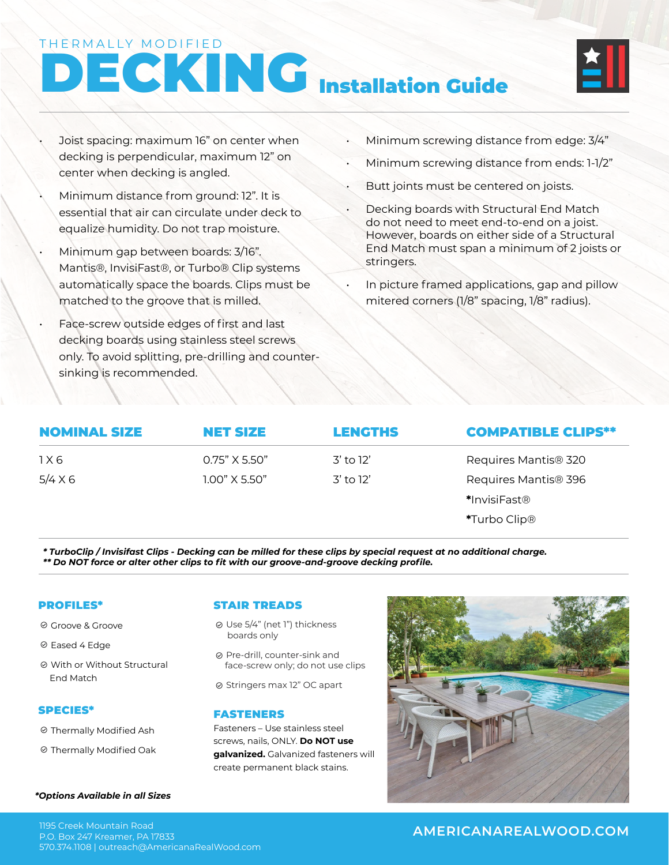#### THERMALLY MODIFIED

# DECKING Installation Guide



- Joist spacing: maximum 16" on center when decking is perpendicular, maximum 12" on center when decking is angled.
	- Minimum distance from ground: 12". It is essential that air can circulate under deck to equalize humidity. Do not trap moisture.
- Minimum gap between boards: 3/16". Mantis®, InvisiFast®, or Turbo® Clip systems automatically space the boards. Clips must be matched to the groove that is milled.
- Face-screw outside edges of first and last decking boards using stainless steel screws only. To avoid splitting, pre-drilling and countersinking is recommended.
- Minimum screwing distance from edge: 3/4"
- Minimum screwing distance from ends: 1-1/2"
- Butt joints must be centered on joists.
- Decking boards with Structural End Match do not need to meet end-to-end on a joist. However, boards on either side of a Structural End Match must span a minimum of 2 joists or stringers.
- In picture framed applications, gap and pillow mitered corners (1/8" spacing, 1/8" radius).

| <b>NOMINAL SIZE</b> | <b>NET SIZE</b> | <b>LENGTHS</b> | <b>COMPATIBLE CLIPS**</b> |
|---------------------|-----------------|----------------|---------------------------|
| 1 X 6               | $0.75"$ X 5.50" | 3' to 12'      | Requires Mantis® 320      |
| $5/4 \times 6$      | $1.00"$ X 5.50" | 3' to 12'      | Requires Mantis® 396      |
|                     |                 |                | *InvisiFast®              |
|                     |                 |                | *Turbo Clip <sup>®</sup>  |

*\* TurboClip / Invisifast Clips - Decking can be milled for these clips by special request at no additional charge. \*\* Do NOT force or alter other clips to fit with our groove-and-groove decking profile.*

#### PROFILES\*

- <sup>⊘</sup> Groove & Groove
- <sup>⊘</sup> Eased 4 Edge
- With or Without Structural End Match

#### SPECIES\*

- Thermally Modified Ash
- Thermally Modified Oak

#### STAIR TREADS

- Use 5/4" (net 1") thickness boards only
- Pre-drill, counter-sink and face-screw only; do not use clips
- ⊗ Stringers max 12" OC apart

#### FASTENERS

Fasteners – Use stainless steel screws, nails, ONLY. **Do NOT use galvanized.** Galvanized fasteners will create permanent black stains.



#### *\*Options Available in all Sizes*

#### P.O. Box 247 Kreamer, PA 17833 570.374.1108 | outreach@AmericanaRealWood.com

### **AMERICANAREALWOOD.COM** 1195 Creek Mountain Road